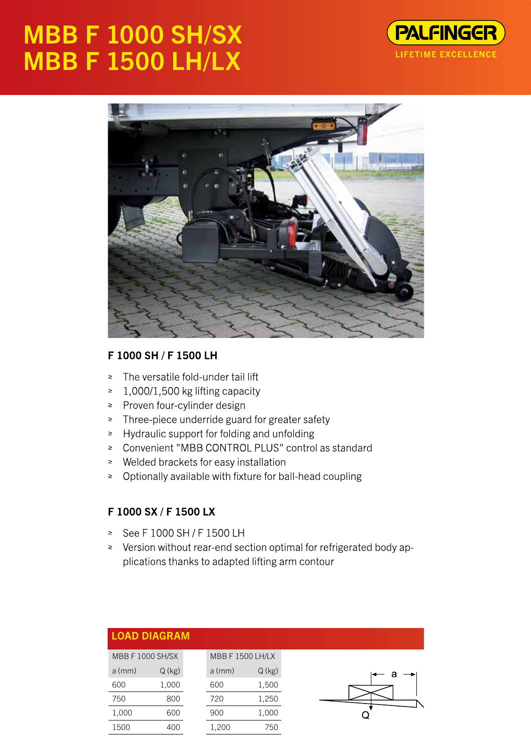# **MBB F 1000 SH/SX MBB F 1500 LH/LX**





## F 1000 SH / F 1500 LH

- The versatile fold-under tail lift  $\geq$
- 1,000/1,500 kg lifting capacity  $\geq$
- ≥ Proven four-cylinder design
- ≥ Three-piece underride guard for greater safety
- $\geq$  Hydraulic support for folding and unfolding
- ≥ Convenient "MBB CONTROL PLUS" control as standard
- ≥ Welded brackets for easy installation
- ≥ Optionally available with fixture for ball-head coupling

#### F 1000 SX / F 1500 LX

- See F 1000 SH / F 1500 LH  $\geq$
- ≥ Version without rear-end section optimal for refrigerated body applications thanks to adapted lifting arm contour

|                         | <b>LOAD DIAGRAM</b> |          |                         |  |
|-------------------------|---------------------|----------|-------------------------|--|
| <b>MBB F 1000 SH/SX</b> |                     |          | <b>MBB F 1500 LH/LX</b> |  |
| $a$ (mm)                | $Q$ (kg)            | $a$ (mm) | Q (kg)                  |  |
| 600                     | 1,000               | 600      | 1,500                   |  |
| 750                     | 800                 | 720      | 1,250                   |  |
| 1,000                   | 600                 | 900      | 1,000                   |  |
| 1500                    | 400                 | .200     | 750                     |  |